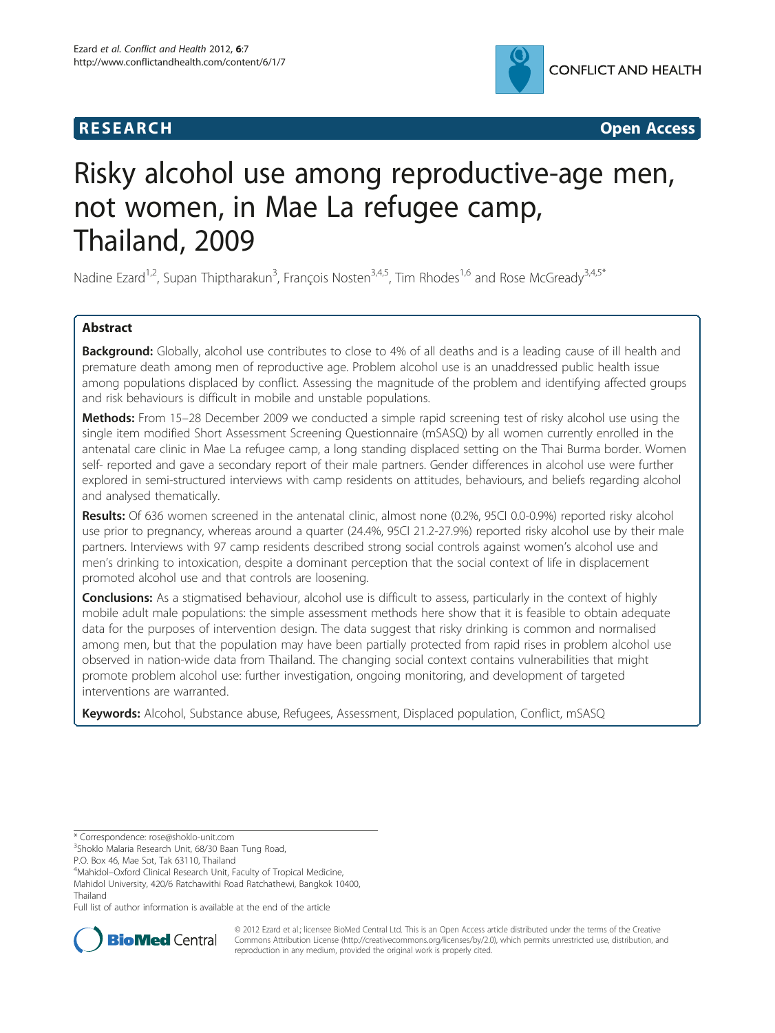

**RESEARCH RESEARCH** *CHECKER CHECKER CHECKER CHECKER CHECKER CHECKER CHECKER CHECKER CHECKER CHECKER CHECKER* 

# Risky alcohol use among reproductive-age men, not women, in Mae La refugee camp, Thailand, 2009

Nadine Ezard<sup>1,2</sup>, Supan Thiptharakun<sup>3</sup>, François Nosten<sup>3,4,5</sup>, Tim Rhodes<sup>1,6</sup> and Rose McGready<sup>3,4,5\*</sup>

# Abstract

Background: Globally, alcohol use contributes to close to 4% of all deaths and is a leading cause of ill health and premature death among men of reproductive age. Problem alcohol use is an unaddressed public health issue among populations displaced by conflict. Assessing the magnitude of the problem and identifying affected groups and risk behaviours is difficult in mobile and unstable populations.

Methods: From 15-28 December 2009 we conducted a simple rapid screening test of risky alcohol use using the single item modified Short Assessment Screening Questionnaire (mSASQ) by all women currently enrolled in the antenatal care clinic in Mae La refugee camp, a long standing displaced setting on the Thai Burma border. Women self- reported and gave a secondary report of their male partners. Gender differences in alcohol use were further explored in semi-structured interviews with camp residents on attitudes, behaviours, and beliefs regarding alcohol and analysed thematically.

Results: Of 636 women screened in the antenatal clinic, almost none (0.2%, 95CI 0.0-0.9%) reported risky alcohol use prior to pregnancy, whereas around a quarter (24.4%, 95CI 21.2-27.9%) reported risky alcohol use by their male partners. Interviews with 97 camp residents described strong social controls against women's alcohol use and men's drinking to intoxication, despite a dominant perception that the social context of life in displacement promoted alcohol use and that controls are loosening.

**Conclusions:** As a stigmatised behaviour, alcohol use is difficult to assess, particularly in the context of highly mobile adult male populations: the simple assessment methods here show that it is feasible to obtain adequate data for the purposes of intervention design. The data suggest that risky drinking is common and normalised among men, but that the population may have been partially protected from rapid rises in problem alcohol use observed in nation-wide data from Thailand. The changing social context contains vulnerabilities that might promote problem alcohol use: further investigation, ongoing monitoring, and development of targeted interventions are warranted.

Keywords: Alcohol, Substance abuse, Refugees, Assessment, Displaced population, Conflict, mSASQ

\* Correspondence: [rose@shoklo-unit.com](mailto:rose@shoklo--nit.com) <sup>3</sup>

<sup>3</sup>Shoklo Malaria Research Unit, 68/30 Baan Tung Road,

P.O. Box 46, Mae Sot, Tak 63110, Thailand

4 Mahidol–Oxford Clinical Research Unit, Faculty of Tropical Medicine,

Mahidol University, 420/6 Ratchawithi Road Ratchathewi, Bangkok 10400, Thailand

Full list of author information is available at the end of the article



© 2012 Ezard et al.; licensee BioMed Central Ltd. This is an Open Access article distributed under the terms of the Creative Commons Attribution License [\(http://creativecommons.org/licenses/by/2.0\)](http://creativecommons.org/licenses/by/2.0), which permits unrestricted use, distribution, and reproduction in any medium, provided the original work is properly cited.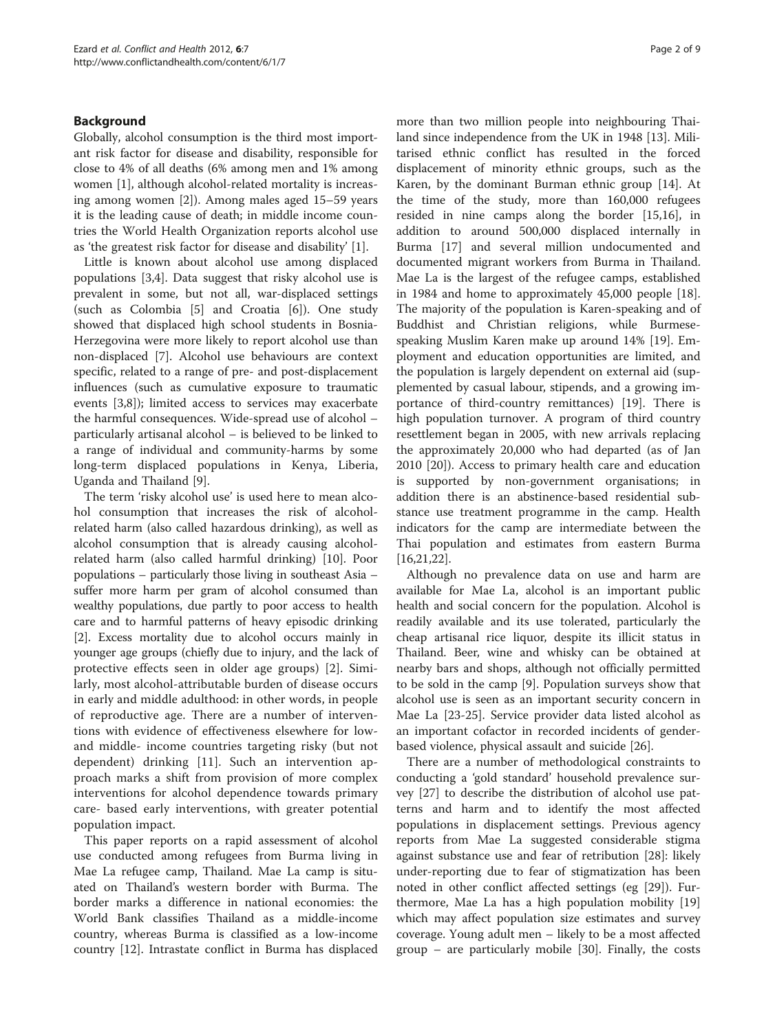# Background

Globally, alcohol consumption is the third most important risk factor for disease and disability, responsible for close to 4% of all deaths (6% among men and 1% among women [[1\]](#page-7-0), although alcohol-related mortality is increasing among women [[2\]](#page-7-0)). Among males aged 15–59 years it is the leading cause of death; in middle income countries the World Health Organization reports alcohol use as 'the greatest risk factor for disease and disability' [\[1](#page-7-0)].

Little is known about alcohol use among displaced populations [[3,4\]](#page-7-0). Data suggest that risky alcohol use is prevalent in some, but not all, war-displaced settings (such as Colombia [\[5](#page-7-0)] and Croatia [[6\]](#page-7-0)). One study showed that displaced high school students in Bosnia-Herzegovina were more likely to report alcohol use than non-displaced [\[7](#page-7-0)]. Alcohol use behaviours are context specific, related to a range of pre- and post-displacement influences (such as cumulative exposure to traumatic events [\[3,8](#page-7-0)]); limited access to services may exacerbate the harmful consequences. Wide-spread use of alcohol – particularly artisanal alcohol – is believed to be linked to a range of individual and community-harms by some long-term displaced populations in Kenya, Liberia, Uganda and Thailand [\[9](#page-7-0)].

The term 'risky alcohol use' is used here to mean alcohol consumption that increases the risk of alcoholrelated harm (also called hazardous drinking), as well as alcohol consumption that is already causing alcoholrelated harm (also called harmful drinking) [\[10\]](#page-7-0). Poor populations – particularly those living in southeast Asia – suffer more harm per gram of alcohol consumed than wealthy populations, due partly to poor access to health care and to harmful patterns of heavy episodic drinking [[2\]](#page-7-0). Excess mortality due to alcohol occurs mainly in younger age groups (chiefly due to injury, and the lack of protective effects seen in older age groups) [\[2](#page-7-0)]. Similarly, most alcohol-attributable burden of disease occurs in early and middle adulthood: in other words, in people of reproductive age. There are a number of interventions with evidence of effectiveness elsewhere for lowand middle- income countries targeting risky (but not dependent) drinking [[11\]](#page-7-0). Such an intervention approach marks a shift from provision of more complex interventions for alcohol dependence towards primary care- based early interventions, with greater potential population impact.

This paper reports on a rapid assessment of alcohol use conducted among refugees from Burma living in Mae La refugee camp, Thailand. Mae La camp is situated on Thailand's western border with Burma. The border marks a difference in national economies: the World Bank classifies Thailand as a middle-income country, whereas Burma is classified as a low-income country [\[12](#page-7-0)]. Intrastate conflict in Burma has displaced

more than two million people into neighbouring Thailand since independence from the UK in 1948 [\[13\]](#page-7-0). Militarised ethnic conflict has resulted in the forced displacement of minority ethnic groups, such as the Karen, by the dominant Burman ethnic group [[14\]](#page-7-0). At the time of the study, more than 160,000 refugees resided in nine camps along the border [[15,16\]](#page-7-0), in addition to around 500,000 displaced internally in Burma [\[17](#page-7-0)] and several million undocumented and documented migrant workers from Burma in Thailand. Mae La is the largest of the refugee camps, established in 1984 and home to approximately 45,000 people [\[18](#page-7-0)]. The majority of the population is Karen-speaking and of Buddhist and Christian religions, while Burmesespeaking Muslim Karen make up around 14% [[19](#page-7-0)]. Employment and education opportunities are limited, and the population is largely dependent on external aid (supplemented by casual labour, stipends, and a growing importance of third-country remittances) [\[19\]](#page-7-0). There is high population turnover. A program of third country resettlement began in 2005, with new arrivals replacing the approximately 20,000 who had departed (as of Jan 2010 [[20\]](#page-7-0)). Access to primary health care and education is supported by non-government organisations; in addition there is an abstinence-based residential substance use treatment programme in the camp. Health indicators for the camp are intermediate between the Thai population and estimates from eastern Burma [[16,21,22\]](#page-7-0).

Although no prevalence data on use and harm are available for Mae La, alcohol is an important public health and social concern for the population. Alcohol is readily available and its use tolerated, particularly the cheap artisanal rice liquor, despite its illicit status in Thailand. Beer, wine and whisky can be obtained at nearby bars and shops, although not officially permitted to be sold in the camp [\[9](#page-7-0)]. Population surveys show that alcohol use is seen as an important security concern in Mae La [\[23](#page-7-0)-[25\]](#page-7-0). Service provider data listed alcohol as an important cofactor in recorded incidents of genderbased violence, physical assault and suicide [\[26](#page-7-0)].

There are a number of methodological constraints to conducting a 'gold standard' household prevalence survey [\[27\]](#page-7-0) to describe the distribution of alcohol use patterns and harm and to identify the most affected populations in displacement settings. Previous agency reports from Mae La suggested considerable stigma against substance use and fear of retribution [\[28](#page-7-0)]: likely under-reporting due to fear of stigmatization has been noted in other conflict affected settings (eg [\[29](#page-7-0)]). Furthermore, Mae La has a high population mobility [[19](#page-7-0)] which may affect population size estimates and survey coverage. Young adult men – likely to be a most affected group – are particularly mobile [\[30](#page-7-0)]. Finally, the costs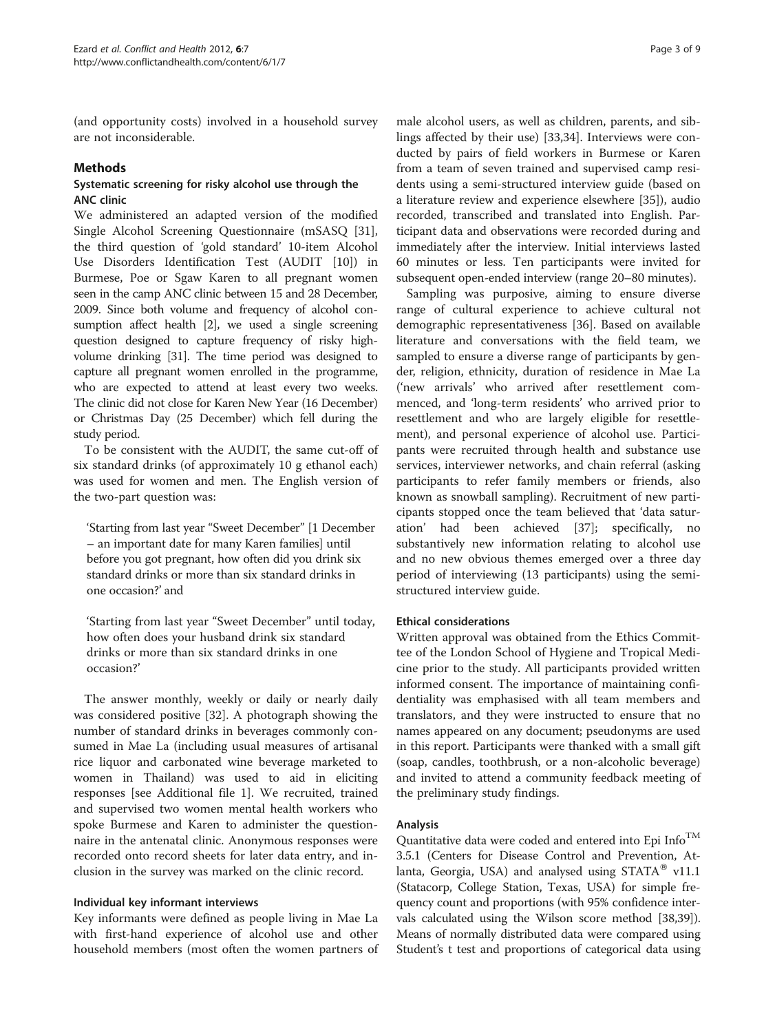(and opportunity costs) involved in a household survey are not inconsiderable.

#### Methods

# Systematic screening for risky alcohol use through the ANC clinic

We administered an adapted version of the modified Single Alcohol Screening Questionnaire (mSASQ [\[31](#page-7-0)], the third question of 'gold standard' 10-item Alcohol Use Disorders Identification Test (AUDIT [[10\]](#page-7-0)) in Burmese, Poe or Sgaw Karen to all pregnant women seen in the camp ANC clinic between 15 and 28 December, 2009. Since both volume and frequency of alcohol consumption affect health [\[2\]](#page-7-0), we used a single screening question designed to capture frequency of risky highvolume drinking [\[31\]](#page-7-0). The time period was designed to capture all pregnant women enrolled in the programme, who are expected to attend at least every two weeks. The clinic did not close for Karen New Year (16 December) or Christmas Day (25 December) which fell during the study period.

To be consistent with the AUDIT, the same cut-off of six standard drinks (of approximately 10 g ethanol each) was used for women and men. The English version of the two-part question was:

'Starting from last year "Sweet December" [1 December – an important date for many Karen families] until before you got pregnant, how often did you drink six standard drinks or more than six standard drinks in one occasion?' and

'Starting from last year "Sweet December" until today, how often does your husband drink six standard drinks or more than six standard drinks in one occasion?'

The answer monthly, weekly or daily or nearly daily was considered positive [[32\]](#page-7-0). A photograph showing the number of standard drinks in beverages commonly consumed in Mae La (including usual measures of artisanal rice liquor and carbonated wine beverage marketed to women in Thailand) was used to aid in eliciting responses [see [Additional file 1\]](#page-7-0). We recruited, trained and supervised two women mental health workers who spoke Burmese and Karen to administer the questionnaire in the antenatal clinic. Anonymous responses were recorded onto record sheets for later data entry, and inclusion in the survey was marked on the clinic record.

# Individual key informant interviews

Key informants were defined as people living in Mae La with first-hand experience of alcohol use and other household members (most often the women partners of

male alcohol users, as well as children, parents, and siblings affected by their use) [[33,34\]](#page-8-0). Interviews were conducted by pairs of field workers in Burmese or Karen from a team of seven trained and supervised camp residents using a semi-structured interview guide (based on a literature review and experience elsewhere [\[35](#page-8-0)]), audio recorded, transcribed and translated into English. Participant data and observations were recorded during and immediately after the interview. Initial interviews lasted 60 minutes or less. Ten participants were invited for subsequent open-ended interview (range 20–80 minutes).

Sampling was purposive, aiming to ensure diverse range of cultural experience to achieve cultural not demographic representativeness [\[36\]](#page-8-0). Based on available literature and conversations with the field team, we sampled to ensure a diverse range of participants by gender, religion, ethnicity, duration of residence in Mae La ('new arrivals' who arrived after resettlement commenced, and 'long-term residents' who arrived prior to resettlement and who are largely eligible for resettlement), and personal experience of alcohol use. Participants were recruited through health and substance use services, interviewer networks, and chain referral (asking participants to refer family members or friends, also known as snowball sampling). Recruitment of new participants stopped once the team believed that 'data saturation' had been achieved [\[37](#page-8-0)]; specifically, no substantively new information relating to alcohol use and no new obvious themes emerged over a three day period of interviewing (13 participants) using the semistructured interview guide.

# Ethical considerations

Written approval was obtained from the Ethics Committee of the London School of Hygiene and Tropical Medicine prior to the study. All participants provided written informed consent. The importance of maintaining confidentiality was emphasised with all team members and translators, and they were instructed to ensure that no names appeared on any document; pseudonyms are used in this report. Participants were thanked with a small gift (soap, candles, toothbrush, or a non-alcoholic beverage) and invited to attend a community feedback meeting of the preliminary study findings.

# Analysis

Quantitative data were coded and entered into Epi Info<sup>TM</sup> 3.5.1 (Centers for Disease Control and Prevention, Atlanta, Georgia, USA) and analysed using  $STATA^{\otimes}$  v11.1 (Statacorp, College Station, Texas, USA) for simple frequency count and proportions (with 95% confidence intervals calculated using the Wilson score method [\[38,39](#page-8-0)]). Means of normally distributed data were compared using Student's t test and proportions of categorical data using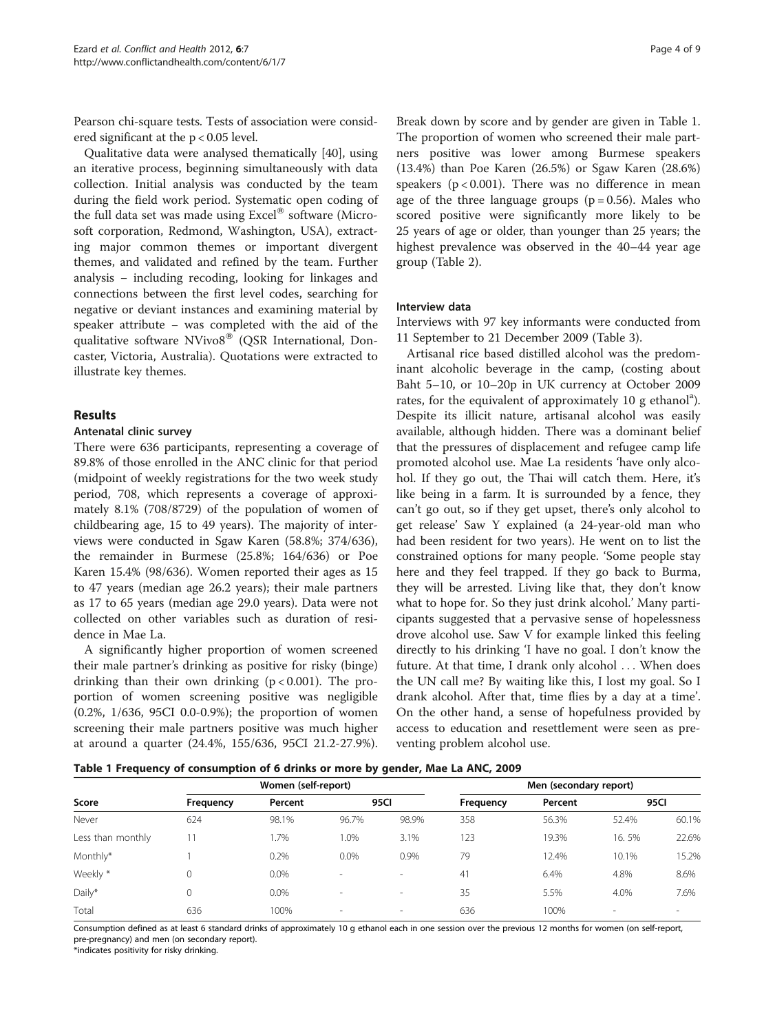Pearson chi-square tests. Tests of association were considered significant at the p < 0.05 level.

Qualitative data were analysed thematically [\[40](#page-8-0)], using an iterative process, beginning simultaneously with data collection. Initial analysis was conducted by the team during the field work period. Systematic open coding of the full data set was made using Excel® software (Microsoft corporation, Redmond, Washington, USA), extracting major common themes or important divergent themes, and validated and refined by the team. Further analysis − including recoding, looking for linkages and connections between the first level codes, searching for negative or deviant instances and examining material by speaker attribute − was completed with the aid of the qualitative software NVivo8<sup>®</sup> (OSR International, Doncaster, Victoria, Australia). Quotations were extracted to illustrate key themes.

#### Results

#### Antenatal clinic survey

There were 636 participants, representing a coverage of 89.8% of those enrolled in the ANC clinic for that period (midpoint of weekly registrations for the two week study period, 708, which represents a coverage of approximately 8.1% (708/8729) of the population of women of childbearing age, 15 to 49 years). The majority of interviews were conducted in Sgaw Karen (58.8%; 374/636), the remainder in Burmese (25.8%; 164/636) or Poe Karen 15.4% (98/636). Women reported their ages as 15 to 47 years (median age 26.2 years); their male partners as 17 to 65 years (median age 29.0 years). Data were not collected on other variables such as duration of residence in Mae La.

A significantly higher proportion of women screened their male partner's drinking as positive for risky (binge) drinking than their own drinking  $(p < 0.001)$ . The proportion of women screening positive was negligible (0.2%, 1/636, 95CI 0.0-0.9%); the proportion of women screening their male partners positive was much higher at around a quarter (24.4%, 155/636, 95CI 21.2-27.9%).

Break down by score and by gender are given in Table 1. The proportion of women who screened their male partners positive was lower among Burmese speakers (13.4%) than Poe Karen (26.5%) or Sgaw Karen (28.6%) speakers ( $p < 0.001$ ). There was no difference in mean age of the three language groups ( $p = 0.56$ ). Males who scored positive were significantly more likely to be 25 years of age or older, than younger than 25 years; the highest prevalence was observed in the 40–44 year age group (Table [2\)](#page-4-0).

#### Interview data

Interviews with 97 key informants were conducted from 11 September to 21 December 2009 (Table [3\)](#page-4-0).

Artisanal rice based distilled alcohol was the predominant alcoholic beverage in the camp, (costing about Baht 5–10, or 10–20p in UK currency at October 2009 rates, for the equivalent of approximately 10 g ethanol<sup>a</sup>). Despite its illicit nature, artisanal alcohol was easily available, although hidden. There was a dominant belief that the pressures of displacement and refugee camp life promoted alcohol use. Mae La residents 'have only alcohol. If they go out, the Thai will catch them. Here, it's like being in a farm. It is surrounded by a fence, they can't go out, so if they get upset, there's only alcohol to get release' Saw Y explained (a 24-year-old man who had been resident for two years). He went on to list the constrained options for many people. 'Some people stay here and they feel trapped. If they go back to Burma, they will be arrested. Living like that, they don't know what to hope for. So they just drink alcohol.' Many participants suggested that a pervasive sense of hopelessness drove alcohol use. Saw V for example linked this feeling directly to his drinking 'I have no goal. I don't know the future. At that time, I drank only alcohol ... When does the UN call me? By waiting like this, I lost my goal. So I drank alcohol. After that, time flies by a day at a time'. On the other hand, a sense of hopefulness provided by access to education and resettlement were seen as preventing problem alcohol use.

Table 1 Frequency of consumption of 6 drinks or more by gender, Mae La ANC, 2009

|                   | Women (self-report) |         |                          |        | Men (secondary report) |         |        |       |  |
|-------------------|---------------------|---------|--------------------------|--------|------------------------|---------|--------|-------|--|
| Score             | Frequency           | Percent | 95CI                     |        | Frequency              | Percent | 95CI   |       |  |
| Never             | 624                 | 98.1%   | 96.7%                    | 98.9%  | 358                    | 56.3%   | 52.4%  | 60.1% |  |
| Less than monthly |                     | i.7%    | 1.0%                     | 3.1%   | 123                    | 19.3%   | 16.5%  | 22.6% |  |
| Monthly*          |                     | 0.2%    | 0.0%                     | 0.9%   | 79                     | 12.4%   | 10.1%  | 15.2% |  |
| Weekly *          |                     | $0.0\%$ | $\sim$                   | $\sim$ | 41                     | 6.4%    | 4.8%   | 8.6%  |  |
| Daily*            |                     | $0.0\%$ | $\sim$                   | $\sim$ | 35                     | 5.5%    | 4.0%   | 7.6%  |  |
| Total             | 636                 | 100%    | $\overline{\phantom{a}}$ | $\sim$ | 636                    | 100%    | $\sim$ |       |  |

Consumption defined as at least 6 standard drinks of approximately 10 g ethanol each in one session over the previous 12 months for women (on self-report, pre-pregnancy) and men (on secondary report).

\*indicates positivity for risky drinking.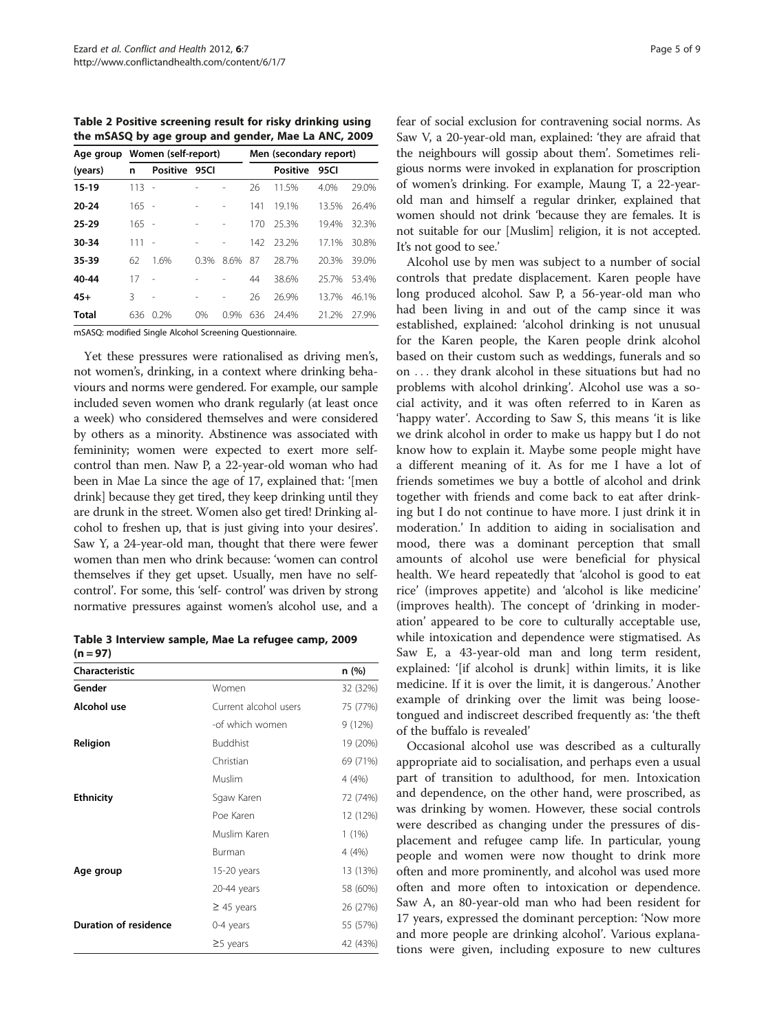<span id="page-4-0"></span>Table 2 Positive screening result for risky drinking using the mSASQ by age group and gender, Mae La ANC, 2009

| Age group | Women (self-report) |                          |      |      | Men (secondary report) |                 |       |       |
|-----------|---------------------|--------------------------|------|------|------------------------|-----------------|-------|-------|
| (years)   | n                   | <b>Positive</b>          | 95CI |      |                        | <b>Positive</b> | 95CI  |       |
| $15-19$   | 113                 | $\overline{\phantom{a}}$ |      |      | 26                     | 11.5%           | 4.0%  | 29.0% |
| $20 - 24$ | $165 -$             |                          |      |      | 141                    | 19.1%           | 13.5% | 26.4% |
| $25-29$   | 165                 | $\overline{\phantom{a}}$ |      |      | 170                    | 25.3%           | 19.4% | 32.3% |
| 30-34     | 111                 | $\overline{\phantom{a}}$ |      |      | 142                    | 23.2%           | 171%  | 30.8% |
| 35-39     | 62                  | 1.6%                     | 0.3% | 8.6% | 87                     | 28.7%           | 20.3% | 39.0% |
| 40-44     | 17                  | $\overline{\phantom{a}}$ |      |      | 44                     | 38.6%           | 25.7% | 53.4% |
| $45+$     | ζ                   |                          |      |      | 26                     | 26.9%           | 13.7% | 46.1% |
| Total     | 636                 | 0.2%                     | 0%   | 0.9% | 636                    | 24.4%           | 21.2% | 27.9% |

mSASQ: modified Single Alcohol Screening Questionnaire.

Yet these pressures were rationalised as driving men's, not women's, drinking, in a context where drinking behaviours and norms were gendered. For example, our sample included seven women who drank regularly (at least once a week) who considered themselves and were considered by others as a minority. Abstinence was associated with femininity; women were expected to exert more selfcontrol than men. Naw P, a 22-year-old woman who had been in Mae La since the age of 17, explained that: '[men drink] because they get tired, they keep drinking until they are drunk in the street. Women also get tired! Drinking alcohol to freshen up, that is just giving into your desires'. Saw Y, a 24-year-old man, thought that there were fewer women than men who drink because: 'women can control themselves if they get upset. Usually, men have no selfcontrol'. For some, this 'self- control' was driven by strong normative pressures against women's alcohol use, and a

Table 3 Interview sample, Mae La refugee camp, 2009  $(n = 97)$ 

| Characteristic               |                       | n (%)    |
|------------------------------|-----------------------|----------|
| Gender                       | Women                 | 32 (32%) |
| Alcohol use                  | Current alcohol users | 75 (77%) |
|                              | -of which women       | 9(12%)   |
| Religion                     | <b>Buddhist</b>       | 19 (20%) |
|                              | Christian             | 69 (71%) |
|                              | Muslim                | 4 (4%)   |
| <b>Ethnicity</b>             | Sgaw Karen            | 72 (74%) |
|                              | Poe Karen             | 12 (12%) |
|                              | Muslim Karen          | $1(1\%)$ |
|                              | Burman                | 4 (4%)   |
| Age group                    | 15-20 years           | 13 (13%) |
|                              | 20-44 years           | 58 (60%) |
|                              | $\geq$ 45 years       | 26 (27%) |
| <b>Duration of residence</b> | 0-4 years             | 55 (57%) |
|                              | $\geq$ 5 years        | 42 (43%) |

fear of social exclusion for contravening social norms. As Saw V, a 20-year-old man, explained: 'they are afraid that the neighbours will gossip about them'. Sometimes religious norms were invoked in explanation for proscription of women's drinking. For example, Maung T, a 22-yearold man and himself a regular drinker, explained that women should not drink 'because they are females. It is not suitable for our [Muslim] religion, it is not accepted. It's not good to see.'

Alcohol use by men was subject to a number of social controls that predate displacement. Karen people have long produced alcohol. Saw P, a 56-year-old man who had been living in and out of the camp since it was established, explained: 'alcohol drinking is not unusual for the Karen people, the Karen people drink alcohol based on their custom such as weddings, funerals and so on ... they drank alcohol in these situations but had no problems with alcohol drinking'. Alcohol use was a social activity, and it was often referred to in Karen as 'happy water'. According to Saw S, this means 'it is like we drink alcohol in order to make us happy but I do not know how to explain it. Maybe some people might have a different meaning of it. As for me I have a lot of friends sometimes we buy a bottle of alcohol and drink together with friends and come back to eat after drinking but I do not continue to have more. I just drink it in moderation.' In addition to aiding in socialisation and mood, there was a dominant perception that small amounts of alcohol use were beneficial for physical health. We heard repeatedly that 'alcohol is good to eat rice' (improves appetite) and 'alcohol is like medicine' (improves health). The concept of 'drinking in moderation' appeared to be core to culturally acceptable use, while intoxication and dependence were stigmatised. As Saw E, a 43-year-old man and long term resident, explained: '[if alcohol is drunk] within limits, it is like medicine. If it is over the limit, it is dangerous.' Another example of drinking over the limit was being loosetongued and indiscreet described frequently as: 'the theft of the buffalo is revealed'

Occasional alcohol use was described as a culturally appropriate aid to socialisation, and perhaps even a usual part of transition to adulthood, for men. Intoxication and dependence, on the other hand, were proscribed, as was drinking by women. However, these social controls were described as changing under the pressures of displacement and refugee camp life. In particular, young people and women were now thought to drink more often and more prominently, and alcohol was used more often and more often to intoxication or dependence. Saw A, an 80-year-old man who had been resident for 17 years, expressed the dominant perception: 'Now more and more people are drinking alcohol'. Various explanations were given, including exposure to new cultures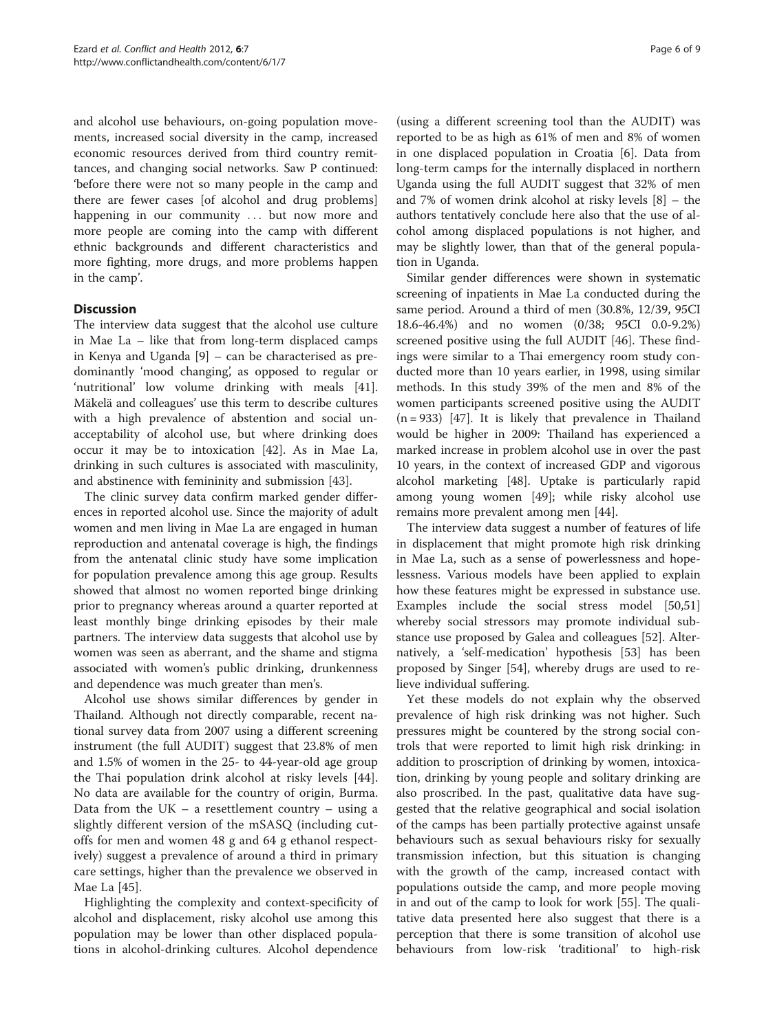and alcohol use behaviours, on-going population movements, increased social diversity in the camp, increased economic resources derived from third country remittances, and changing social networks. Saw P continued: 'before there were not so many people in the camp and there are fewer cases [of alcohol and drug problems] happening in our community ... but now more and more people are coming into the camp with different ethnic backgrounds and different characteristics and more fighting, more drugs, and more problems happen in the camp'.

# **Discussion**

The interview data suggest that the alcohol use culture in Mae La – like that from long-term displaced camps in Kenya and Uganda [\[9\]](#page-7-0) – can be characterised as predominantly 'mood changing', as opposed to regular or 'nutritional' low volume drinking with meals [\[41](#page-8-0)]. Mäkelä and colleagues' use this term to describe cultures with a high prevalence of abstention and social unacceptability of alcohol use, but where drinking does occur it may be to intoxication [\[42](#page-8-0)]. As in Mae La, drinking in such cultures is associated with masculinity, and abstinence with femininity and submission [[43](#page-8-0)].

The clinic survey data confirm marked gender differences in reported alcohol use. Since the majority of adult women and men living in Mae La are engaged in human reproduction and antenatal coverage is high, the findings from the antenatal clinic study have some implication for population prevalence among this age group. Results showed that almost no women reported binge drinking prior to pregnancy whereas around a quarter reported at least monthly binge drinking episodes by their male partners. The interview data suggests that alcohol use by women was seen as aberrant, and the shame and stigma associated with women's public drinking, drunkenness and dependence was much greater than men's.

Alcohol use shows similar differences by gender in Thailand. Although not directly comparable, recent national survey data from 2007 using a different screening instrument (the full AUDIT) suggest that 23.8% of men and 1.5% of women in the 25- to 44-year-old age group the Thai population drink alcohol at risky levels [\[44](#page-8-0)]. No data are available for the country of origin, Burma. Data from the UK – a resettlement country – using a slightly different version of the mSASQ (including cutoffs for men and women 48 g and 64 g ethanol respectively) suggest a prevalence of around a third in primary care settings, higher than the prevalence we observed in Mae La [[45\]](#page-8-0).

Highlighting the complexity and context-specificity of alcohol and displacement, risky alcohol use among this population may be lower than other displaced populations in alcohol-drinking cultures. Alcohol dependence

(using a different screening tool than the AUDIT) was reported to be as high as 61% of men and 8% of women in one displaced population in Croatia [[6\]](#page-7-0). Data from long-term camps for the internally displaced in northern Uganda using the full AUDIT suggest that 32% of men and 7% of women drink alcohol at risky levels [[8\]](#page-7-0) – the authors tentatively conclude here also that the use of alcohol among displaced populations is not higher, and may be slightly lower, than that of the general population in Uganda.

Similar gender differences were shown in systematic screening of inpatients in Mae La conducted during the same period. Around a third of men (30.8%, 12/39, 95CI 18.6-46.4%) and no women (0/38; 95CI 0.0-9.2%) screened positive using the full AUDIT [[46\]](#page-8-0). These findings were similar to a Thai emergency room study conducted more than 10 years earlier, in 1998, using similar methods. In this study 39% of the men and 8% of the women participants screened positive using the AUDIT  $(n = 933)$  [[47](#page-8-0)]. It is likely that prevalence in Thailand would be higher in 2009: Thailand has experienced a marked increase in problem alcohol use in over the past 10 years, in the context of increased GDP and vigorous alcohol marketing [[48](#page-8-0)]. Uptake is particularly rapid among young women [[49](#page-8-0)]; while risky alcohol use remains more prevalent among men [\[44\]](#page-8-0).

The interview data suggest a number of features of life in displacement that might promote high risk drinking in Mae La, such as a sense of powerlessness and hopelessness. Various models have been applied to explain how these features might be expressed in substance use. Examples include the social stress model [[50](#page-8-0),[51](#page-8-0)] whereby social stressors may promote individual substance use proposed by Galea and colleagues [\[52\]](#page-8-0). Alternatively, a 'self-medication' hypothesis [\[53\]](#page-8-0) has been proposed by Singer [\[54](#page-8-0)], whereby drugs are used to relieve individual suffering.

Yet these models do not explain why the observed prevalence of high risk drinking was not higher. Such pressures might be countered by the strong social controls that were reported to limit high risk drinking: in addition to proscription of drinking by women, intoxication, drinking by young people and solitary drinking are also proscribed. In the past, qualitative data have suggested that the relative geographical and social isolation of the camps has been partially protective against unsafe behaviours such as sexual behaviours risky for sexually transmission infection, but this situation is changing with the growth of the camp, increased contact with populations outside the camp, and more people moving in and out of the camp to look for work [\[55](#page-8-0)]. The qualitative data presented here also suggest that there is a perception that there is some transition of alcohol use behaviours from low-risk 'traditional' to high-risk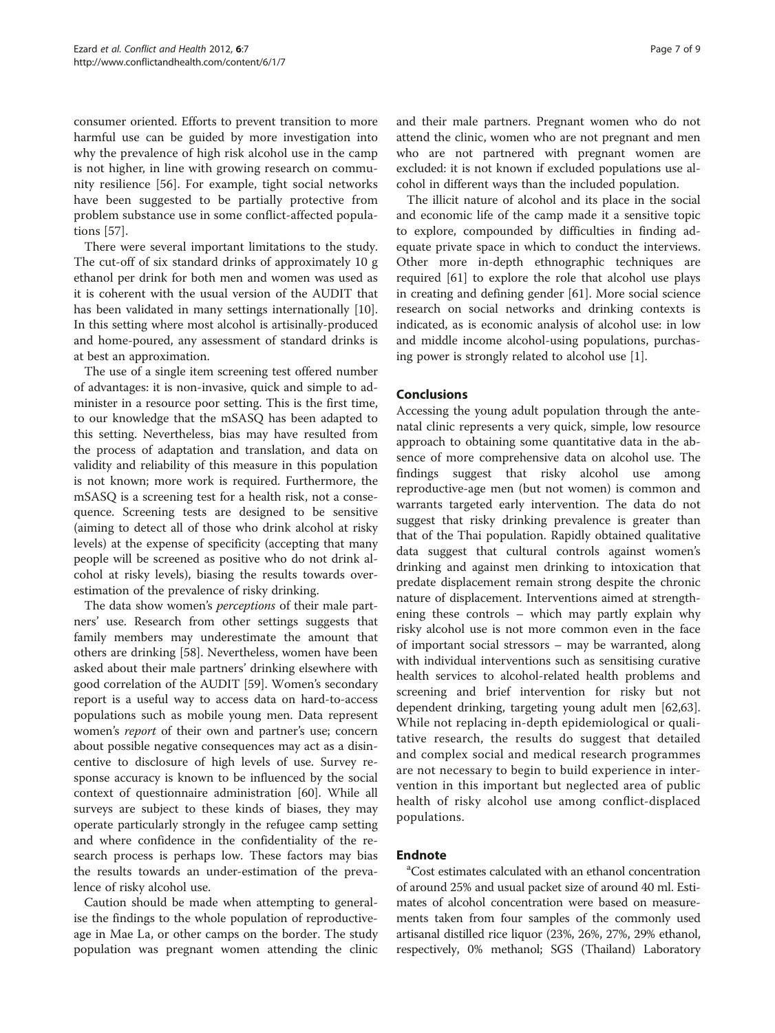consumer oriented. Efforts to prevent transition to more harmful use can be guided by more investigation into why the prevalence of high risk alcohol use in the camp is not higher, in line with growing research on community resilience [[56](#page-8-0)]. For example, tight social networks have been suggested to be partially protective from problem substance use in some conflict-affected populations [[57](#page-8-0)].

There were several important limitations to the study. The cut-off of six standard drinks of approximately 10 g ethanol per drink for both men and women was used as it is coherent with the usual version of the AUDIT that has been validated in many settings internationally [\[10](#page-7-0)]. In this setting where most alcohol is artisinally-produced and home-poured, any assessment of standard drinks is at best an approximation.

The use of a single item screening test offered number of advantages: it is non-invasive, quick and simple to administer in a resource poor setting. This is the first time, to our knowledge that the mSASQ has been adapted to this setting. Nevertheless, bias may have resulted from the process of adaptation and translation, and data on validity and reliability of this measure in this population is not known; more work is required. Furthermore, the mSASQ is a screening test for a health risk, not a consequence. Screening tests are designed to be sensitive (aiming to detect all of those who drink alcohol at risky levels) at the expense of specificity (accepting that many people will be screened as positive who do not drink alcohol at risky levels), biasing the results towards overestimation of the prevalence of risky drinking.

The data show women's *perceptions* of their male partners' use. Research from other settings suggests that family members may underestimate the amount that others are drinking [\[58](#page-8-0)]. Nevertheless, women have been asked about their male partners' drinking elsewhere with good correlation of the AUDIT [[59](#page-8-0)]. Women's secondary report is a useful way to access data on hard-to-access populations such as mobile young men. Data represent women's report of their own and partner's use; concern about possible negative consequences may act as a disincentive to disclosure of high levels of use. Survey response accuracy is known to be influenced by the social context of questionnaire administration [[60\]](#page-8-0). While all surveys are subject to these kinds of biases, they may operate particularly strongly in the refugee camp setting and where confidence in the confidentiality of the research process is perhaps low. These factors may bias the results towards an under-estimation of the prevalence of risky alcohol use.

Caution should be made when attempting to generalise the findings to the whole population of reproductiveage in Mae La, or other camps on the border. The study population was pregnant women attending the clinic

and their male partners. Pregnant women who do not attend the clinic, women who are not pregnant and men who are not partnered with pregnant women are excluded: it is not known if excluded populations use alcohol in different ways than the included population.

The illicit nature of alcohol and its place in the social and economic life of the camp made it a sensitive topic to explore, compounded by difficulties in finding adequate private space in which to conduct the interviews. Other more in-depth ethnographic techniques are required [\[61](#page-8-0)] to explore the role that alcohol use plays in creating and defining gender [[61\]](#page-8-0). More social science research on social networks and drinking contexts is indicated, as is economic analysis of alcohol use: in low and middle income alcohol-using populations, purchasing power is strongly related to alcohol use [[1](#page-7-0)].

#### **Conclusions**

Accessing the young adult population through the antenatal clinic represents a very quick, simple, low resource approach to obtaining some quantitative data in the absence of more comprehensive data on alcohol use. The findings suggest that risky alcohol use among reproductive-age men (but not women) is common and warrants targeted early intervention. The data do not suggest that risky drinking prevalence is greater than that of the Thai population. Rapidly obtained qualitative data suggest that cultural controls against women's drinking and against men drinking to intoxication that predate displacement remain strong despite the chronic nature of displacement. Interventions aimed at strengthening these controls – which may partly explain why risky alcohol use is not more common even in the face of important social stressors – may be warranted, along with individual interventions such as sensitising curative health services to alcohol-related health problems and screening and brief intervention for risky but not dependent drinking, targeting young adult men [\[62,63](#page-8-0)]. While not replacing in-depth epidemiological or qualitative research, the results do suggest that detailed and complex social and medical research programmes are not necessary to begin to build experience in intervention in this important but neglected area of public health of risky alcohol use among conflict-displaced populations.

# **Endnote**

Cost estimates calculated with an ethanol concentration of around 25% and usual packet size of around 40 ml. Estimates of alcohol concentration were based on measurements taken from four samples of the commonly used artisanal distilled rice liquor (23%, 26%, 27%, 29% ethanol, respectively, 0% methanol; SGS (Thailand) Laboratory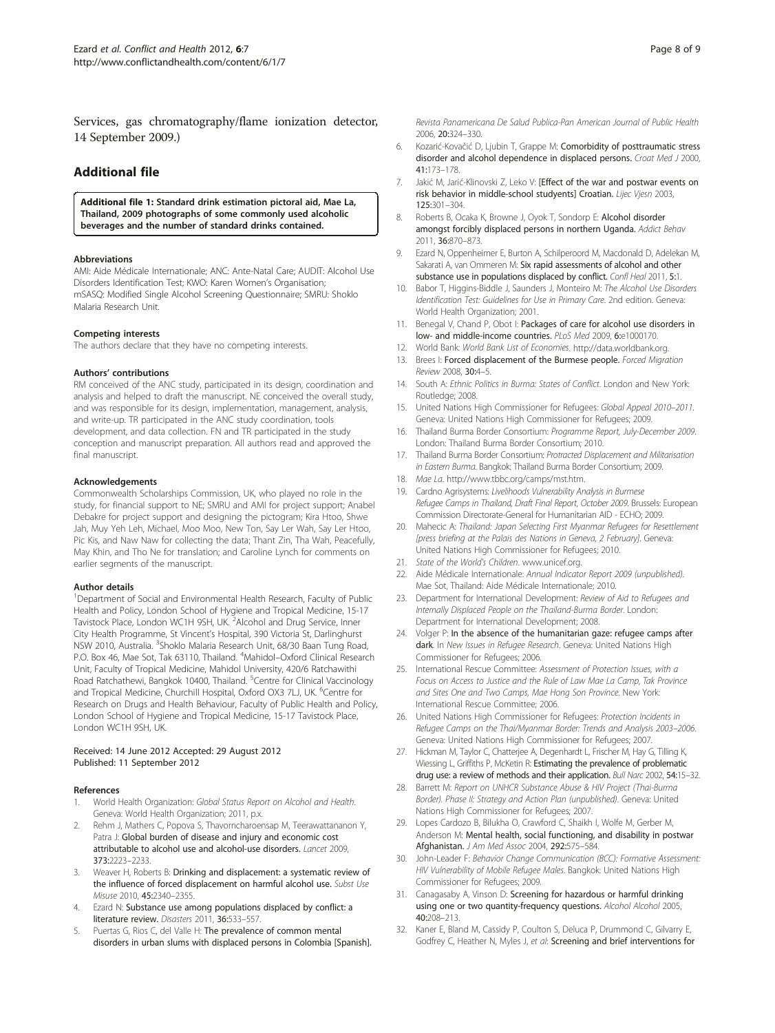<span id="page-7-0"></span>Services, gas chromatography/flame ionization detector, 14 September 2009.)

# Additional file

[Additional file 1:](http://www.biomedcentral.com/content/supplementary/1752-1505-6-7-S1.tiff) Standard drink estimation pictoral aid, Mae La, Thailand, 2009 photographs of some commonly used alcoholic beverages and the number of standard drinks contained.

#### Abbreviations

AMI: Aide Médicale Internationale; ANC: Ante-Natal Care; AUDIT: Alcohol Use Disorders Identification Test; KWO: Karen Women's Organisation; mSASQ: Modified Single Alcohol Screening Questionnaire; SMRU: Shoklo Malaria Research Unit.

#### Competing interests

The authors declare that they have no competing interests.

#### Authors' contributions

RM conceived of the ANC study, participated in its design, coordination and analysis and helped to draft the manuscript. NE conceived the overall study, and was responsible for its design, implementation, management, analysis, and write-up. TR participated in the ANC study coordination, tools development, and data collection. FN and TR participated in the study conception and manuscript preparation. All authors read and approved the final manuscript.

#### Acknowledgements

Commonwealth Scholarships Commission, UK, who played no role in the study, for financial support to NE; SMRU and AMI for project support; Anabel Debakre for project support and designing the pictogram; Kira Htoo, Shwe Jah, Muy Yeh Leh, Michael, Moo Moo, New Ton, Say Ler Wah, Say Ler Htoo, Pic Kis, and Naw Naw for collecting the data; Thant Zin, Tha Wah, Peacefully, May Khin, and Tho Ne for translation; and Caroline Lynch for comments on earlier segments of the manuscript.

#### Author details

<sup>1</sup>Department of Social and Environmental Health Research, Faculty of Public Health and Policy, London School of Hygiene and Tropical Medicine, 15-17 Tavistock Place, London WC1H 9SH, UK. <sup>2</sup>Alcohol and Drug Service, Inner City Health Programme, St Vincent's Hospital, 390 Victoria St, Darlinghurst NSW 2010, Australia. <sup>3</sup>Shoklo Malaria Research Unit, 68/30 Baan Tung Road, P.O. Box 46, Mae Sot, Tak 63110, Thailand. <sup>4</sup>Mahidol-Oxford Clinical Research Unit, Faculty of Tropical Medicine, Mahidol University, 420/6 Ratchawithi Road Ratchathewi, Bangkok 10400, Thailand. <sup>5</sup>Centre for Clinical Vaccinology and Tropical Medicine, Churchill Hospital, Oxford OX3 7LJ, UK. <sup>6</sup>Centre for Research on Drugs and Health Behaviour, Faculty of Public Health and Policy, London School of Hygiene and Tropical Medicine, 15-17 Tavistock Place, London WC1H 9SH, UK.

#### Received: 14 June 2012 Accepted: 29 August 2012 Published: 11 September 2012

#### References

- 1. World Health Organization: Global Status Report on Alcohol and Health. Geneva: World Health Organization; 2011, p.x.
- Rehm J, Mathers C, Popova S, Thavorncharoensap M, Teerawattananon Y, Patra J: Global burden of disease and injury and economic cost attributable to alcohol use and alcohol-use disorders. Lancet 2009, 373:2223–2233.
- 3. Weaver H, Roberts B: Drinking and displacement: a systematic review of the influence of forced displacement on harmful alcohol use. Subst Use Misuse 2010, 45:2340–2355.
- 4. Ezard N: Substance use among populations displaced by conflict: a literature review. Disasters 2011, 36:533–557.
- 5. Puertas G, Rios C, del Valle H: The prevalence of common mental disorders in urban slums with displaced persons in Colombia [Spanish].

Revista Panamericana De Salud Publica-Pan American Journal of Public Health 2006, 20:324–330.

- 6. Kozarić-Kovačić D, Ljubin T, Grappe M: Comorbidity of posttraumatic stress disorder and alcohol dependence in displaced persons. Croat Med J 2000, 41:173–178.
- 7. Jakić M, Jarić-Klinovski Z, Leko V: [Effect of the war and postwar events on risk behavior in middle-school studyents] Croatian. Lijec Vjesn 2003, 125:301–304.
- 8. Roberts B, Ocaka K, Browne J, Oyok T, Sondorp E: Alcohol disorder amongst forcibly displaced persons in northern Uganda. Addict Behav 2011, 36:870–873.
- Ezard N, Oppenheimer E, Burton A, Schilperoord M, Macdonald D, Adelekan M, Sakarati A, van Ommeren M: Six rapid assessments of alcohol and other substance use in populations displaced by conflict. Confl Heal 2011, 5:1.
- 10. Babor T, Higgins-Biddle J, Saunders J, Monteiro M: The Alcohol Use Disorders Identification Test: Guidelines for Use in Primary Care. 2nd edition. Geneva: World Health Organization; 2001.
- 11. Benegal V, Chand P, Obot I: Packages of care for alcohol use disorders in low- and middle-income countries. PLoS Med 2009, 6:e1000170.
- 12. World Bank: World Bank List of Economies.<http://data.worldbank.org>.
- 13. Brees I: Forced displacement of the Burmese people. Forced Migration Review 2008, 30:4–5.
- 14. South A: Ethnic Politics in Burma: States of Conflict. London and New York: Routledge; 2008.
- 15. United Nations High Commissioner for Refugees: Global Appeal 2010–2011. Geneva: United Nations High Commissioner for Refugees; 2009.
- 16. Thailand Burma Border Consortium: Programme Report, July-December 2009. London: Thailand Burma Border Consortium; 2010.
- 17. Thailand Burma Border Consortium: Protracted Displacement and Militarisation in Eastern Burma. Bangkok: Thailand Burma Border Consortium; 2009.
- 18. Mae La. [http://www.tbbc.org/camps/mst.htm.](http://www.tbbc.org/camps/mst.htm)
- 19. Cardno Agrisystems: Livelihoods Vulnerability Analysis in Burmese Refugee Camps in Thailand, Draft Final Report, October 2009. Brussels: European Commission Directorate-General for Humanitarian AID - ECHO; 2009.
- 20. Mahecic A: Thailand: Japan Selecting First Myanmar Refugees for Resettlement [press briefing at the Palais des Nations in Geneva, 2 February]. Geneva: United Nations High Commissioner for Refugees; 2010.
- 21. State of the World's Children. [www.unicef.org](http://www.unicef.org).
- 22. Aide Médicale Internationale: Annual Indicator Report 2009 (unpublished). Mae Sot, Thailand: Aide Médicale Internationale; 2010.
- 23. Department for International Development: Review of Aid to Refugees and Internally Displaced People on the Thailand-Burma Border. London: Department for International Development; 2008.
- 24. Volger P: In the absence of the humanitarian gaze: refugee camps after dark. In New Issues in Refugee Research. Geneva: United Nations High Commissioner for Refugees; 2006.
- 25. International Rescue Committee: Assessment of Protection Issues, with a Focus on Access to Justice and the Rule of Law Mae La Camp, Tak Province and Sites One and Two Camps, Mae Hong Son Province. New York: International Rescue Committee; 2006.
- 26. United Nations High Commissioner for Refugees: Protection Incidents in Refugee Camps on the Thai/Myanmar Border: Trends and Analysis 2003–2006. Geneva: United Nations High Commissioner for Refugees; 2007.
- 27. Hickman M, Taylor C, Chatterjee A, Degenhardt L, Frischer M, Hay G, Tilling K, Wiessing L, Griffiths P, McKetin R: Estimating the prevalence of problematic drug use: a review of methods and their application. Bull Narc 2002, 54:15–32.
- 28. Barrett M: Report on UNHCR Substance Abuse & HIV Project (Thai-Burma Border). Phase II: Strategy and Action Plan (unpublished). Geneva: United Nations High Commissioner for Refugees; 2007.
- 29. Lopes Cardozo B, Bilukha O, Crawford C, Shaikh I, Wolfe M, Gerber M, Anderson M: Mental health, social functioning, and disability in postwar Afghanistan. J Am Med Assoc 2004, 292:575-584.
- 30. John-Leader F: Behavior Change Communication (BCC): Formative Assessment: HIV Vulnerability of Mobile Refugee Males. Bangkok: United Nations High Commissioner for Refugees; 2009.
- 31. Canagasaby A, Vinson D: Screening for hazardous or harmful drinking using one or two quantity-frequency questions. Alcohol Alcohol 2005, 40:208–213.
- 32. Kaner E, Bland M, Cassidy P, Coulton S, Deluca P, Drummond C, Gilvarry E, Godfrey C, Heather N, Myles J, et al: Screening and brief interventions for